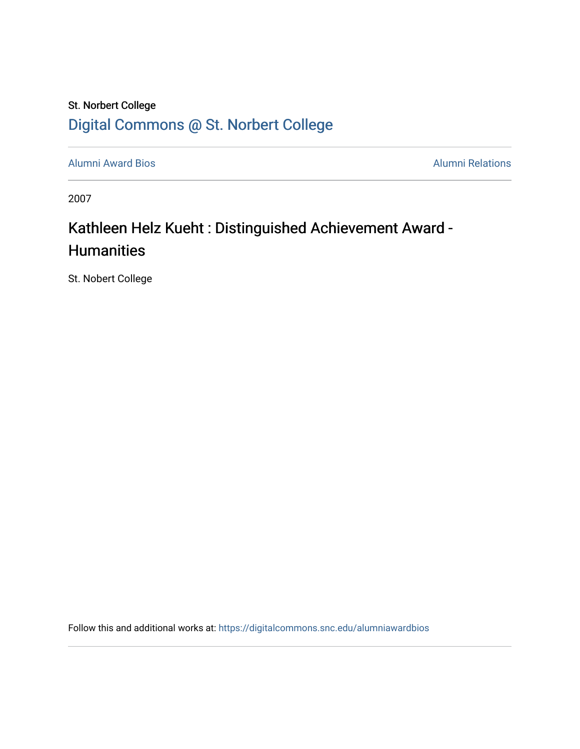## St. Norbert College [Digital Commons @ St. Norbert College](https://digitalcommons.snc.edu/)

[Alumni Award Bios](https://digitalcommons.snc.edu/alumniawardbios) **Alumni Relations** Alumni Relations

2007

## Kathleen Helz Kueht : Distinguished Achievement Award -**Humanities**

St. Nobert College

Follow this and additional works at: [https://digitalcommons.snc.edu/alumniawardbios](https://digitalcommons.snc.edu/alumniawardbios?utm_source=digitalcommons.snc.edu%2Falumniawardbios%2F38&utm_medium=PDF&utm_campaign=PDFCoverPages)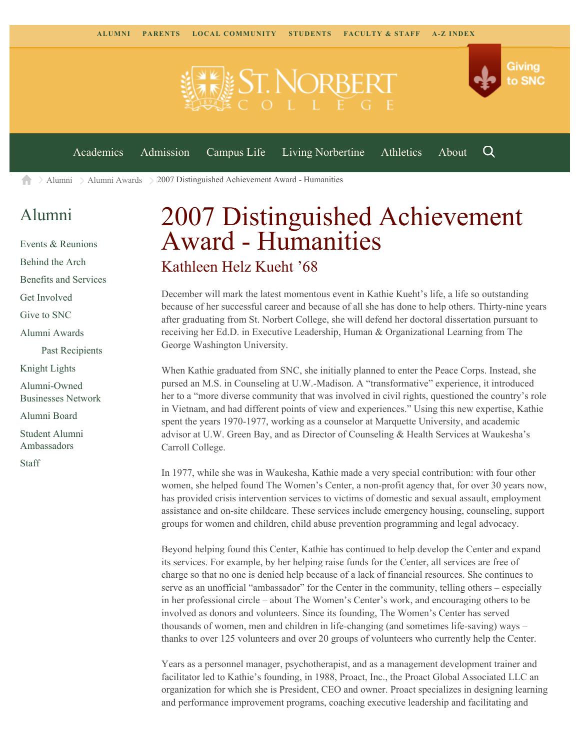

 $\geq$  [Alumni](https://www.snc.edu/alumni/)  $\geq$  [Alumni Awards](https://www.snc.edu/alumni/awards/)  $\geq$  2007 Distinguished Achievement Award - Humanities A

## [Alumni](https://www.snc.edu/alumni/index.html)

[Events & Reunions](https://www.snc.edu/alumni/event/index.html) [Behind the Arch](https://www.snc.edu/alumni/event/behindthearch/) [Benefits and Services](https://www.snc.edu/alumni/benefits.html) [Get Involved](https://www.snc.edu/alumni/getinvolved.html) [Give to SNC](http://giving.snc.edu/) [Alumni Awards](https://www.snc.edu/alumni/awards/index.html) [Past Recipients](https://www.snc.edu/alumni/awards/recipients.html) [Knight Lights](https://www.snc.edu/alumni/knightlights/index.html) [Alumni-Owned](https://www.snc.edu/alumni/directory/index.html) [Businesses Network](https://www.snc.edu/alumni/directory/index.html) [Alumni Board](https://www.snc.edu/alumni/alumniboard.html) [Student Alumni](https://www.snc.edu/alumni/saa.html) [Ambassadors](https://www.snc.edu/alumni/saa.html) [Staff](https://www.snc.edu/alumni/contactus.html)

## 2007 Distinguished Achievement Award - Humanities Kathleen Helz Kueht '68

December will mark the latest momentous event in Kathie Kueht's life, a life so outstanding because of her successful career and because of all she has done to help others. Thirty-nine years after graduating from St. Norbert College, she will defend her doctoral dissertation pursuant to receiving her Ed.D. in Executive Leadership, Human & Organizational Learning from The George Washington University.

When Kathie graduated from SNC, she initially planned to enter the Peace Corps. Instead, she pursed an M.S. in Counseling at U.W.-Madison. A "transformative" experience, it introduced her to a "more diverse community that was involved in civil rights, questioned the country's role in Vietnam, and had different points of view and experiences." Using this new expertise, Kathie spent the years 1970-1977, working as a counselor at Marquette University, and academic advisor at U.W. Green Bay, and as Director of Counseling & Health Services at Waukesha's Carroll College.

In 1977, while she was in Waukesha, Kathie made a very special contribution: with four other women, she helped found The Women's Center, a non-profit agency that, for over 30 years now, has provided crisis intervention services to victims of domestic and sexual assault, employment assistance and on-site childcare. These services include emergency housing, counseling, support groups for women and children, child abuse prevention programming and legal advocacy.

Beyond helping found this Center, Kathie has continued to help develop the Center and expand its services. For example, by her helping raise funds for the Center, all services are free of charge so that no one is denied help because of a lack of financial resources. She continues to serve as an unofficial "ambassador" for the Center in the community, telling others – especially in her professional circle – about The Women's Center's work, and encouraging others to be involved as donors and volunteers. Since its founding, The Women's Center has served thousands of women, men and children in life-changing (and sometimes life-saving) ways – thanks to over 125 volunteers and over 20 groups of volunteers who currently help the Center.

Years as a personnel manager, psychotherapist, and as a management development trainer and facilitator led to Kathie's founding, in 1988, Proact, Inc., the Proact Global Associated LLC an organization for which she is President, CEO and owner. Proact specializes in designing learning and performance improvement programs, coaching executive leadership and facilitating and